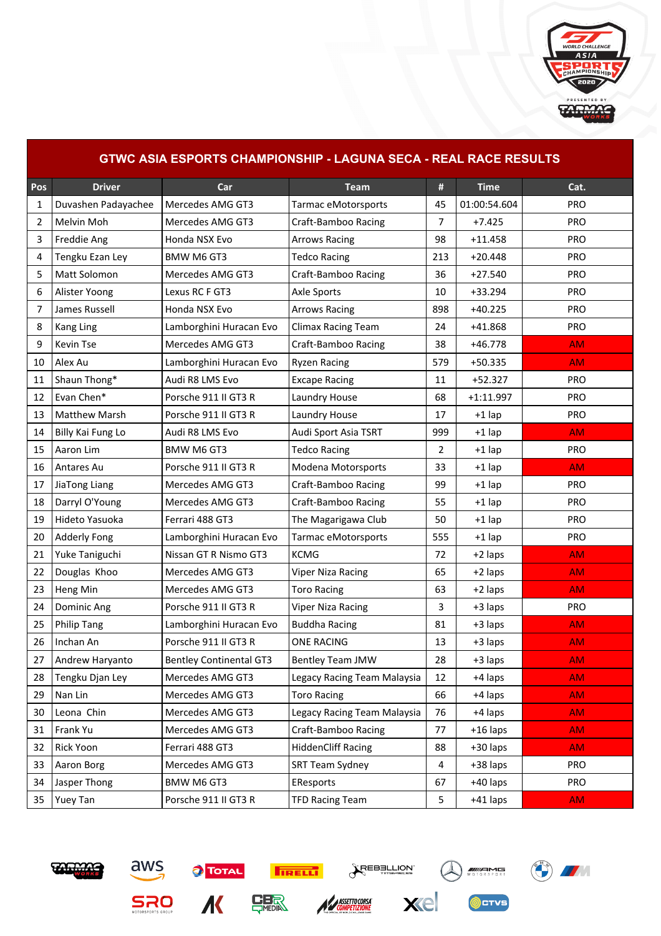

## **GTWC ASIA ESPORTS CHAMPIONSHIP - LAGUNA SECA - REAL RACE RESULTS Pos Driver Car Team # Time Cat.** 1 Duvashen Padayachee Mercedes AMG GT3 Tarmac eMotorsports 45 01:00:54.604 PRO 2 | Melvin Moh | Mercedes AMG GT3 | Craft-Bamboo Racing 7 | +7.425 | PRO 3 Freddie Ang Honda NSX Evo Arrows Racing 98 +11.458 PRO 4 Tengku Ezan Ley BMW M6 GT3 Tedco Racing 213 +20.448 PRO 5 | Matt Solomon | Mercedes AMG GT3 | Craft-Bamboo Racing | 36 | +27.540 | PRO 6 Alister Yoong Lexus RC F GT3 Axle Sports 10 | +33.294 | PRO 7 | James Russell | Honda NSX Evo | Arrows Racing | 898 | +40.225 | PRO 8 Kang Ling Lamborghini Huracan Evo Climax Racing Team 24 +41.868 PRO 9 | Kevin Tse | Mercedes AMG GT3 | Craft-Bamboo Racing | 38 | +46.778 AM 10 Alex Au Lamborghini Huracan Evo Ryzen Racing 579 +50.335 **AM** 11 Shaun Thong\* Audi R8 LMS Evo Excape Racing 11 | +52.327 | PRO 12 Evan Chen\* Porsche 911 II GT3 R Laundry House 18 | 68 | +1:11.997 | PRO 13 Matthew Marsh Porsche 911 II GT3 R Laundry House 17 +1 lap PRO 14 Billy Kai Fung Lo Audi R8 LMS Evo Audi Sport Asia TSRT 999 +1 lap AM 15 Aaron Lim BMW M6 GT3 Tedco Racing 2 +1 lap PRO 16 Antares Au Porsche 911 II GT3 R Modena Motorsports 33 + 1 lap AM 17 |JiaTong Liang | Mercedes AMG GT3 | Craft-Bamboo Racing | 99 | +1 lap | PRO 18 | Darryl O'Young | Mercedes AMG GT3 | Craft-Bamboo Racing | 55 | +1 lap | PRO 19 | Hideto Yasuoka | Ferrari 488 GT3 | The Magarigawa Club | 50 | +1 lap | PRO 20 Adderly Fong | Lamborghini Huracan Evo | Tarmac eMotorsports | 555 | +1 lap | PRO 21 Yuke Taniguchi Nissan GT R Nismo GT3 KCMG 72 +2 laps AM 22 Douglas Khoo Mercedes AMG GT3 Viper Niza Racing 1 = 65 +2 laps AM 23 Heng Min Mercedes AMG GT3 Toro Racing 1 and 163 +2 laps AM 24 | Dominic Ang | Porsche 911 II GT3 R | Viper Niza Racing | 3 | +3 laps | PRO 25 Philip Tang Lamborghini Huracan Evo Buddha Racing 25 | 81 | +3 laps AM 26 | Inchan An Porsche 911 II GT3 R ONE RACING | 13 | +3 laps | AM 27 Andrew Haryanto Bentley Continental GT3 Bentley Team JMW 28 +3 laps AM 28 | Tengku Djan Ley | Mercedes AMG GT3 | Legacy Racing Team Malaysia | 12 | +4 laps | AM 29 | Nan Lin | Mercedes AMG GT3 | Toro Racing | 66 | +4 laps <mark>AM AM</mark> 30 Leona Chin Mercedes AMG GT3 Legacy Racing Team Malaysia 26 +4 laps AM 31 Frank Yu Mercedes AMG GT3 Craft-Bamboo Racing 77 +16 laps AM 32 Rick Yoon Ferrari 488 GT3 HiddenCliff Racing 88 +30 laps AM 33 Aaron Borg Mercedes AMG GT3 SRT Team Sydney 4 +38 laps PRO 34 Jasper Thong BMW M6 GT3 EResports 167 | +40 laps | PRO 35 Yuey Tan Porsche 911 II GT3 R TFD Racing Team 5 +41 laps AM











CTVS